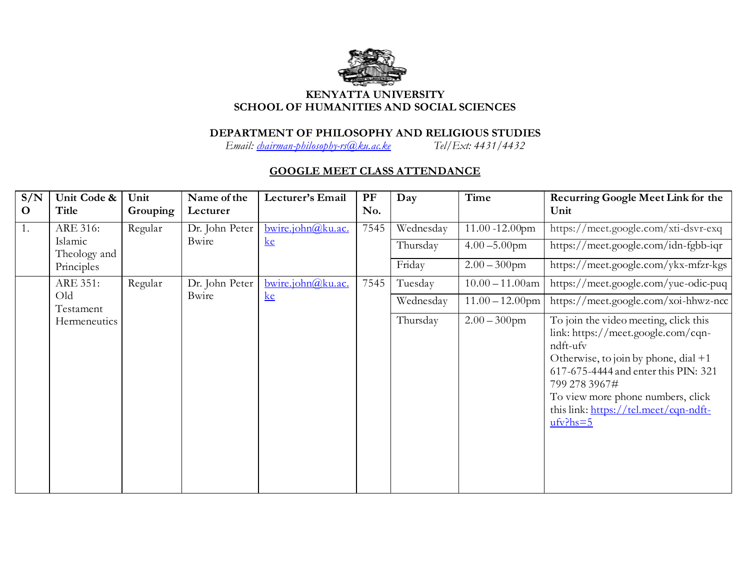

## **KENYATTA UNIVERSITY SCHOOL OF HUMANITIES AND SOCIAL SCIENCES**

## **DEPARTMENT OF PHILOSOPHY AND RELIGIOUS STUDIES**

*Email: [chairman-philosophy-rs@ku.ac.ke](mailto:chairman-philosophy-rs@ku.ac.ke) Tel/Ext: 4431/4432*

## **GOOGLE MEET CLASS ATTENDANCE**

| S/N<br>$\mathbf{O}$ | Unit Code &<br>Title                | Unit<br>Grouping | Name of the<br>Lecturer | Lecturer's Email                | PF<br>No. | Day                             | Time                                                      | <b>Recurring Google Meet Link for the</b><br>Unit                                                                                                                                                                                                                                                                            |
|---------------------|-------------------------------------|------------------|-------------------------|---------------------------------|-----------|---------------------------------|-----------------------------------------------------------|------------------------------------------------------------------------------------------------------------------------------------------------------------------------------------------------------------------------------------------------------------------------------------------------------------------------------|
| 1.                  | ARE 316:<br>Islamic<br>Theology and | Regular          | Dr. John Peter<br>Bwire | bwire.john@ku.ac.<br>k <b>e</b> | 7545      | Wednesday<br>Thursday<br>Friday | $11.00 - 12.00$ pm<br>$4.00 - 5.00$ pm<br>$2.00 - 300$ pm | https://meet.google.com/xti-dsvr-exq<br>https://meet.google.com/idn-fgbb-iqr<br>https://meet.google.com/ykx-mfzr-kgs                                                                                                                                                                                                         |
|                     | Principles<br>ARE 351:<br>Old       | Regular          | Dr. John Peter<br>Bwire | bwire.john@ku.ac.<br>k <b>e</b> | 7545      | Tuesday                         | $10.00 - 11.00$ am                                        | https://meet.google.com/yue-odic-puq                                                                                                                                                                                                                                                                                         |
|                     | Testament<br>Hermeneutics           |                  |                         |                                 |           | Wednesday<br>Thursday           | $11.00 - 12.00$ pm<br>$2.00 - 300$ pm                     | https://meet.google.com/xoi-hhwz-ncc<br>To join the video meeting, click this<br>link: https://meet.google.com/cqn-<br>ndft-ufv<br>Otherwise, to join by phone, dial +1<br>617-675-4444 and enter this PIN: 321<br>799 278 3967#<br>To view more phone numbers, click<br>this link: https://tel.meet/cqn-ndft-<br>$ufv?hs=5$ |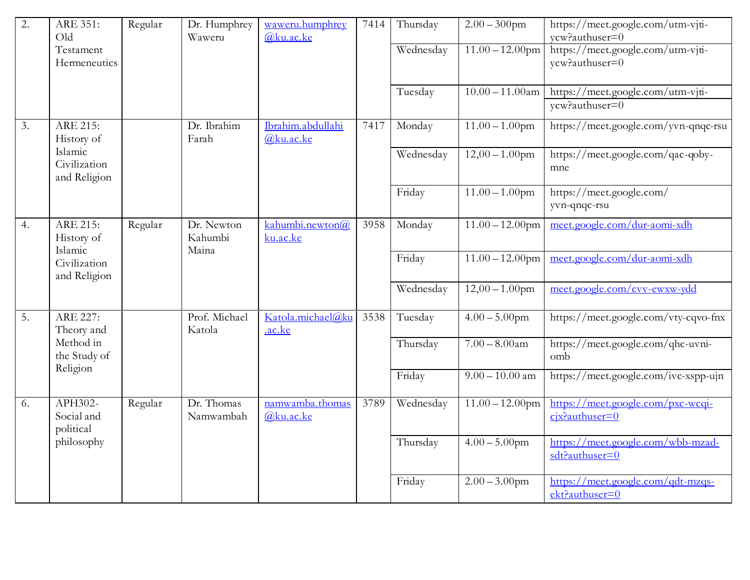| 2. | ARE 351:<br>Old                                                   | Regular | Dr. Humphrey<br>Waweru         | waweru.humphrey<br>@ku.ac.ke   | 7414 | Thursday  | $2.00 - 300$ pm    | https://meet.google.com/utm-vjti-<br>vcw?authuser=0    |
|----|-------------------------------------------------------------------|---------|--------------------------------|--------------------------------|------|-----------|--------------------|--------------------------------------------------------|
|    | Testament<br>Hermeneutics                                         |         |                                |                                |      | Wednesday | $11.00 - 12.00$ pm | https://meet.google.com/utm-viti-<br>ycw?authuser=0    |
|    |                                                                   |         |                                |                                |      | Tuesday   | $10.00 - 11.00$ am | https://meet.google.com/utm-vjti-                      |
|    |                                                                   |         |                                |                                |      |           |                    | ycw?authuser=0                                         |
| 3. | ARE 215:<br>History of<br>Islamic<br>Civilization<br>and Religion |         | Dr. Ibrahim<br>Farah           | Ibrahim.abdullahi<br>@ku.ac.ke | 7417 | Monday    | $11.00 - 1.00$ pm  | https://meet.google.com/yvn-qnqc-rsu                   |
|    |                                                                   |         |                                |                                |      | Wednesday | $12,00 - 1.00$ pm  | https://meet.google.com/qac-qoby-<br>mne               |
|    |                                                                   |         |                                |                                |      | Friday    | $11.00 - 1.00$ pm  | https://meet.google.com/<br>yvn-qnqc-rsu               |
| 4. | ARE 215:<br>History of<br>Islamic<br>Civilization<br>and Religion | Regular | Dr. Newton<br>Kahumbi<br>Maina | kahumbi.newton@<br>ku.ac.ke    | 3958 | Monday    | $11.00 - 12.00$ pm | meet.google.com/dur-aomi-xdh                           |
|    |                                                                   |         |                                |                                |      | Friday    | $11.00 - 12.00$ pm | meet.google.com/dur-aomi-xdh                           |
|    |                                                                   |         |                                |                                |      | Wednesday | $12,00 - 1.00$ pm  | meet.google.com/cvv-ewxw-ydd                           |
| 5. | ARE 227:<br>Theory and                                            |         | Prof. Michael<br>Katola        | Katola.michael@ku<br>.ac.ke    | 3538 | Tuesday   | $4.00 - 5.00$ pm   | https://meet.google.com/vty-cqvo-fnx                   |
|    | Method in<br>the Study of<br>Religion                             |         |                                |                                |      | Thursday  | $7.00 - 8.00$ am   | https://meet.google.com/qhc-uvni-<br>omb               |
|    |                                                                   |         |                                |                                |      | Friday    | $9.00 - 10.00$ am  | https://meet.google.com/ivc-xspp-ujn                   |
| 6. | APH302-<br>Social and<br>political<br>philosophy                  | Regular | Dr. Thomas<br>Namwambah        | namwamba.thomas<br>@ku.ac.ke   | 3789 | Wednesday | $11.00 - 12.00$ pm | https://meet.google.com/pxc-wcqi-<br>$c$ jx?authuser=0 |
|    |                                                                   |         |                                |                                |      | Thursday  | $4.00 - 5.00$ pm   | https://meet.google.com/wbb-mzad-<br>sdt?authuser=0    |
|    |                                                                   |         |                                |                                |      | Friday    | $2.00 - 3.00$ pm   | https://meet.google.com/qdt-mzqs-<br>ekt?authuser=0    |